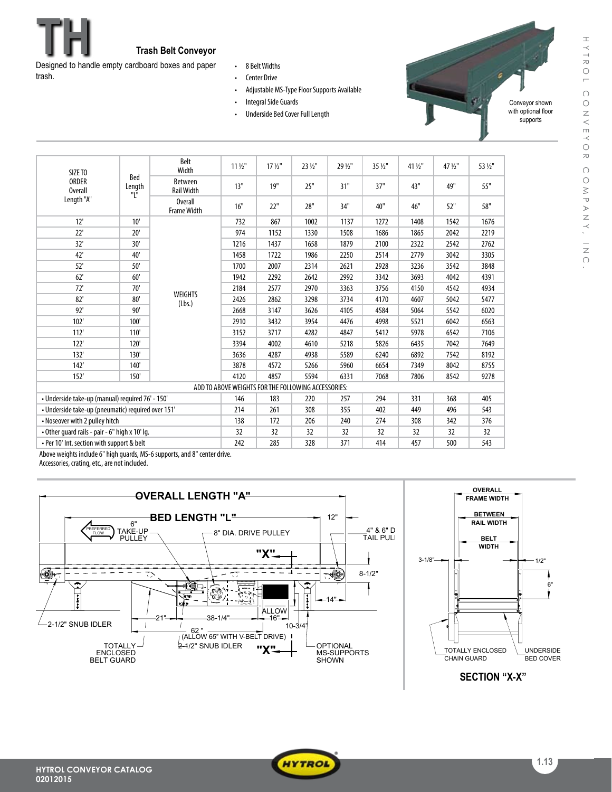

trash.

- • 8 BeltWidths
- • Center Drive
- Adjustable MS-Type Floor Supports Available
- Integral Side Guards
- Underside Bed Cover Full Length



HYTROL CONVEYOR COMPANY, INC.

 $\approx$  $\bigcap$  $\bigcirc$ 

MPANY,

 $\frac{1}{2}$ 

CONVEYO

HYTROL

| SIZE TO<br><b>ORDER</b><br><b>Overall</b><br>Length "A"                   |                                                                  | Belt<br>Width                        | $11\frac{1}{2}$                                     | $17\frac{1}{2}$ " | 23 1/2" | 29 1/2" | 35 1/2" | 41 1/2" | 47 1/2" | 53 1/2" |
|---------------------------------------------------------------------------|------------------------------------------------------------------|--------------------------------------|-----------------------------------------------------|-------------------|---------|---------|---------|---------|---------|---------|
|                                                                           | Bed<br>$\begin{array}{c} \text{Length} \\ \text{"L"}\end{array}$ | <b>Between</b><br><b>Rail Width</b>  | 13"                                                 | 19"               | 25"     | 31"     | 37"     | 43"     | 49"     | 55"     |
|                                                                           |                                                                  | <b>Overall</b><br><b>Frame Width</b> | 16"                                                 | 22"               | 28"     | 34"     | 40"     | 46"     | 52"     | 58"     |
| 12'                                                                       | 10'                                                              | <b>WEIGHTS</b><br>(Lbs.)             | 732                                                 | 867               | 1002    | 1137    | 1272    | 1408    | 1542    | 1676    |
| 22'                                                                       | 20'                                                              |                                      | 974                                                 | 1152              | 1330    | 1508    | 1686    | 1865    | 2042    | 2219    |
| 32'                                                                       | 30'                                                              |                                      | 1216                                                | 1437              | 1658    | 1879    | 2100    | 2322    | 2542    | 2762    |
| 42'                                                                       | 40'                                                              |                                      | 1458                                                | 1722              | 1986    | 2250    | 2514    | 2779    | 3042    | 3305    |
| 52'                                                                       | 50'                                                              |                                      | 1700                                                | 2007              | 2314    | 2621    | 2928    | 3236    | 3542    | 3848    |
| 62'                                                                       | 60'                                                              |                                      | 1942                                                | 2292              | 2642    | 2992    | 3342    | 3693    | 4042    | 4391    |
| 72'                                                                       | 70'                                                              |                                      | 2184                                                | 2577              | 2970    | 3363    | 3756    | 4150    | 4542    | 4934    |
| 82'                                                                       | 80'                                                              |                                      | 2426                                                | 2862              | 3298    | 3734    | 4170    | 4607    | 5042    | 5477    |
| 92'                                                                       | 90'                                                              |                                      | 2668                                                | 3147              | 3626    | 4105    | 4584    | 5064    | 5542    | 6020    |
| 102'                                                                      | 100'                                                             |                                      | 2910                                                | 3432              | 3954    | 4476    | 4998    | 5521    | 6042    | 6563    |
| 112'                                                                      | 110'                                                             |                                      | 3152                                                | 3717              | 4282    | 4847    | 5412    | 5978    | 6542    | 7106    |
| 122'                                                                      | 120'                                                             |                                      | 3394                                                | 4002              | 4610    | 5218    | 5826    | 6435    | 7042    | 7649    |
| 132'                                                                      | 130'                                                             |                                      | 3636                                                | 4287              | 4938    | 5589    | 6240    | 6892    | 7542    | 8192    |
| 142'                                                                      | 140'                                                             |                                      | 3878                                                | 4572              | 5266    | 5960    | 6654    | 7349    | 8042    | 8755    |
| 152'                                                                      | 150'                                                             |                                      | 4120                                                | 4857              | 5594    | 6331    | 7068    | 7806    | 8542    | 9278    |
|                                                                           |                                                                  |                                      | ADD TO ABOVE WEIGHTS FOR THE FOLLOWING ACCESSORIES: |                   |         |         |         |         |         |         |
| • Underside take-up (manual) required 76' - 150'                          |                                                                  |                                      | 146                                                 | 183               | 220     | 257     | 294     | 331     | 368     | 405     |
| • Underside take-up (pneumatic) required over 151'                        |                                                                  |                                      | 214                                                 | 261               | 308     | 355     | 402     | 449     | 496     | 543     |
| • Noseover with 2 pulley hitch                                            |                                                                  |                                      | 138                                                 | 172               | 206     | 240     | 274     | 308     | 342     | 376     |
| • Other guard rails - pair - 6" high x 10' lg.                            |                                                                  |                                      | 32                                                  | 32                | 32      | 32      | 32      | 32      | 32      | 32      |
| . Per 10' Int. section with support & belt                                |                                                                  |                                      | 242                                                 | 285               | 328     | 371     | 414     | 457     | 500     | 543     |
| Above weights inslude 6" high guards, MS, 6 supports, and 9" sentor drive |                                                                  |                                      |                                                     |                   |         |         |         |         |         |         |

Above weights include 6" high guards, MS-6 supports, and 8" center drive.

Accessories, crating, etc., are not included.